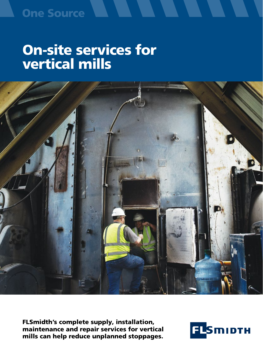### **One Source**

# On-site services for vertical mills



FLSmidth's complete supply, installation, maintenance and repair services for vertical mills can help reduce unplanned stoppages.